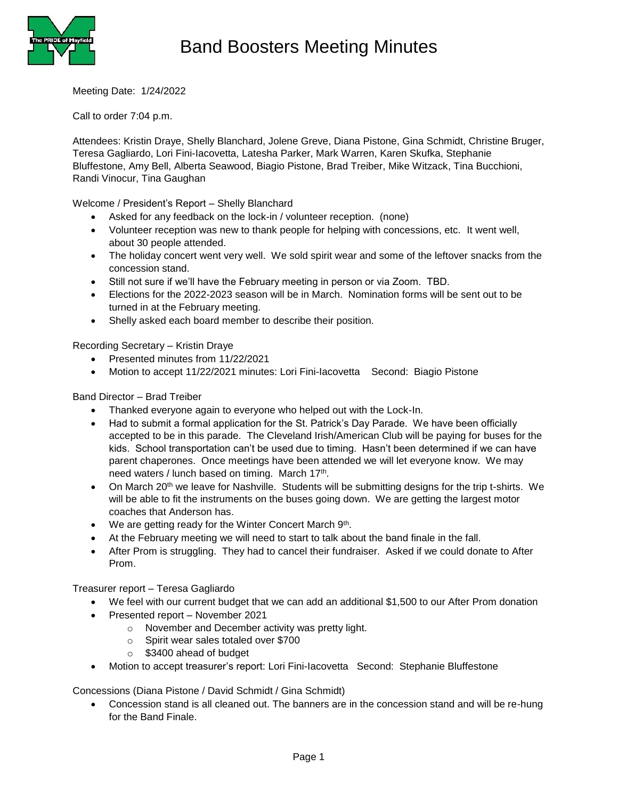

Meeting Date: 1/24/2022

Call to order 7:04 p.m.

Attendees: Kristin Draye, Shelly Blanchard, Jolene Greve, Diana Pistone, Gina Schmidt, Christine Bruger, Teresa Gagliardo, Lori Fini-Iacovetta, Latesha Parker, Mark Warren, Karen Skufka, Stephanie Bluffestone, Amy Bell, Alberta Seawood, Biagio Pistone, Brad Treiber, Mike Witzack, Tina Bucchioni, Randi Vinocur, Tina Gaughan

Welcome / President's Report – Shelly Blanchard

- Asked for any feedback on the lock-in / volunteer reception. (none)
- Volunteer reception was new to thank people for helping with concessions, etc. It went well, about 30 people attended.
- The holiday concert went very well. We sold spirit wear and some of the leftover snacks from the concession stand.
- Still not sure if we'll have the February meeting in person or via Zoom. TBD.
- Elections for the 2022-2023 season will be in March. Nomination forms will be sent out to be turned in at the February meeting.
- Shelly asked each board member to describe their position.

Recording Secretary – Kristin Draye

- Presented minutes from 11/22/2021
- Motion to accept 11/22/2021 minutes: Lori Fini-Iacovetta Second: Biagio Pistone

Band Director – Brad Treiber

- Thanked everyone again to everyone who helped out with the Lock-In.
- Had to submit a formal application for the St. Patrick's Day Parade. We have been officially accepted to be in this parade. The Cleveland Irish/American Club will be paying for buses for the kids. School transportation can't be used due to timing. Hasn't been determined if we can have parent chaperones. Once meetings have been attended we will let everyone know. We may need waters / lunch based on timing. March 17<sup>th</sup>.
- On March 20<sup>th</sup> we leave for Nashville. Students will be submitting designs for the trip t-shirts. We will be able to fit the instruments on the buses going down. We are getting the largest motor coaches that Anderson has.
- We are getting ready for the Winter Concert March 9<sup>th</sup>.
- At the February meeting we will need to start to talk about the band finale in the fall.
- After Prom is struggling. They had to cancel their fundraiser. Asked if we could donate to After Prom.

Treasurer report – Teresa Gagliardo

- We feel with our current budget that we can add an additional \$1,500 to our After Prom donation
- Presented report November 2021
	- o November and December activity was pretty light.
	- o Spirit wear sales totaled over \$700
	- o \$3400 ahead of budget
- Motion to accept treasurer's report: Lori Fini-Iacovetta Second: Stephanie Bluffestone

Concessions (Diana Pistone / David Schmidt / Gina Schmidt)

 Concession stand is all cleaned out. The banners are in the concession stand and will be re-hung for the Band Finale.